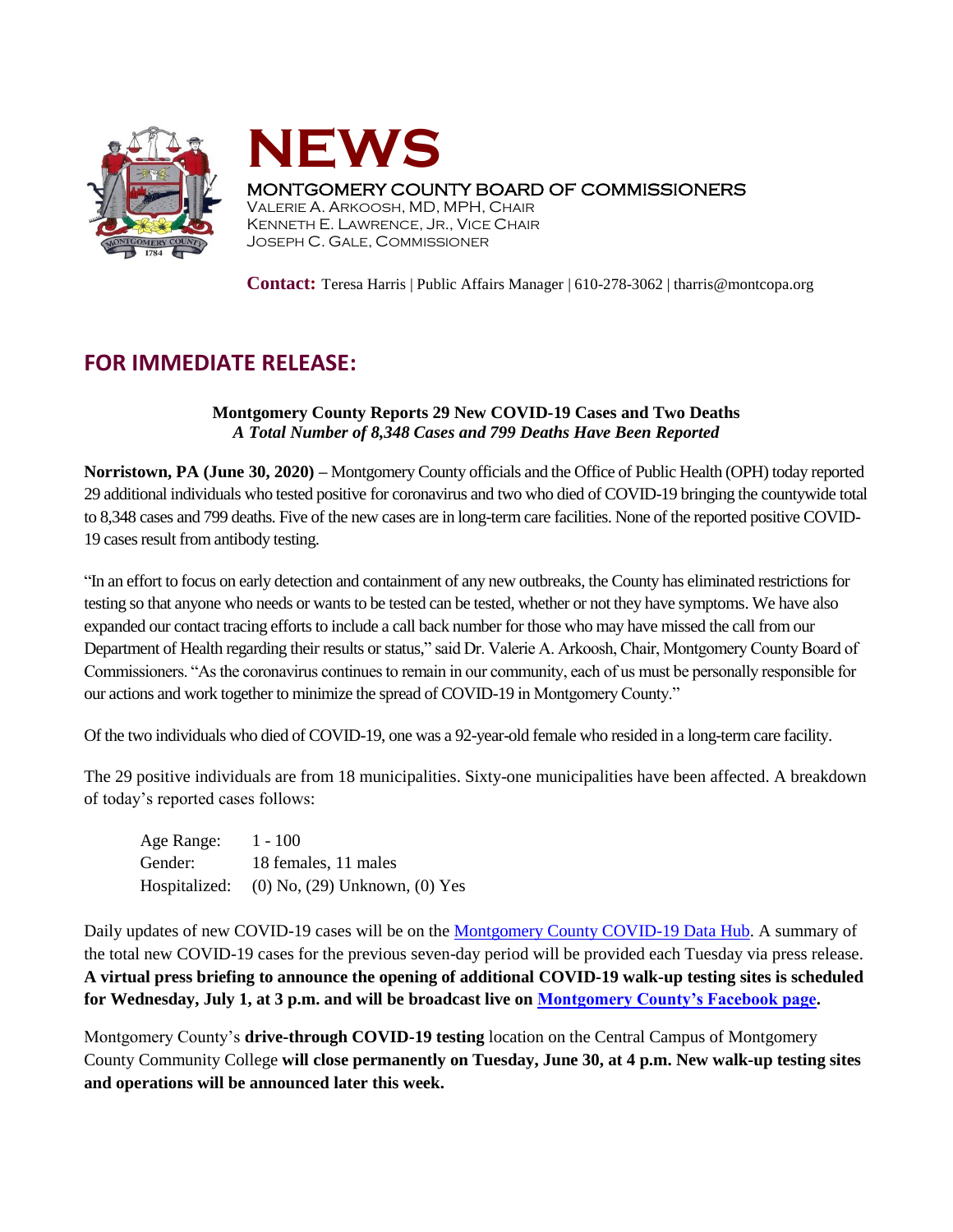



## MONTGOMERY COUNTY BOARD OF COMMISSIONERS

VALERIE A. ARKOOSH, MD, MPH, CHAIR KENNETH E. LAWRENCE, JR., VICE CHAIR JOSEPH C. GALE, COMMISSIONER

**Contact:** Teresa Harris | Public Affairs Manager | 610-278-3062 | tharris@montcopa.org

## **FOR IMMEDIATE RELEASE:**

## **Montgomery County Reports 29 New COVID-19 Cases and Two Deaths**  *A Total Number of 8,348 Cases and 799 Deaths Have Been Reported*

**Norristown, PA (June 30, 2020) –** Montgomery County officials and the Office of Public Health (OPH) today reported 29 additional individuals who tested positive for coronavirus and two who died of COVID-19 bringing the countywide total to 8,348 cases and 799 deaths. Five of the new cases are in long-term care facilities. None of the reported positive COVID-19 cases result from antibody testing.

"In an effort to focus on early detection and containment of any new outbreaks, the County has eliminated restrictions for testing so that anyone who needs or wants to be tested can be tested, whether or not they have symptoms. We have also expanded our contact tracing efforts to include a call back number for those who may have missed the call from our Department of Health regarding their results or status," said Dr. Valerie A. Arkoosh, Chair, Montgomery County Board of Commissioners. "As the coronavirus continues to remain in our community, each of us must be personally responsible for our actions and work together to minimize the spread of COVID-19 in Montgomery County."

Of the two individuals who died of COVID-19, one was a 92-year-old female who resided in a long-term care facility.

The 29 positive individuals are from 18 municipalities. Sixty-one municipalities have been affected. A breakdown of today's reported cases follows:

| Age Range: | $1 - 100$                                   |
|------------|---------------------------------------------|
| Gender:    | 18 females, 11 males                        |
|            | Hospitalized: (0) No, (29) Unknown, (0) Yes |

Daily updates of new COVID-19 cases will be on th[e Montgomery County COVID-19 Data Hub.](http://www.montcopa.org/COVID-19) A summary of the total new COVID-19 cases for the previous seven-day period will be provided each Tuesday via press release. **A virtual press briefing to announce the opening of additional COVID-19 walk-up testing sites is scheduled for Wednesday, July 1, at 3 p.m. and will be broadcast live on [Montgomery County's Facebook page.](https://www.facebook.com/montgomery.county.pa/)**

Montgomery County's **drive-through COVID-19 testing** location on the Central Campus of Montgomery County Community College **will close permanently on Tuesday, June 30, at 4 p.m. New walk-up testing sites and operations will be announced later this week.**